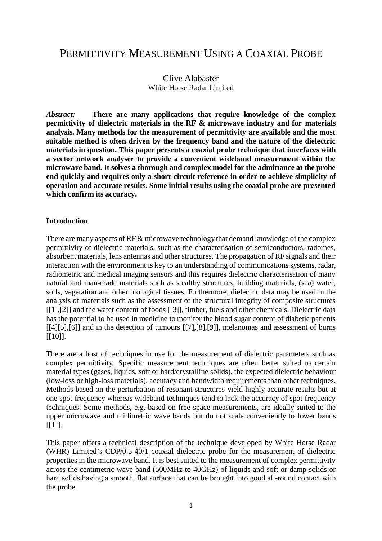# PERMITTIVITY MEASUREMENT USING A COAXIAL PROBE

# Clive Alabaster White Horse Radar Limited

*Abstract:* **There are many applications that require knowledge of the complex permittivity of dielectric materials in the RF & microwave industry and for materials analysis. Many methods for the measurement of permittivity are available and the most suitable method is often driven by the frequency band and the nature of the dielectric materials in question. This paper presents a coaxial probe technique that interfaces with a vector network analyser to provide a convenient wideband measurement within the microwave band. It solves a thorough and complex model for the admittance at the probe end quickly and requires only a short-circuit reference in order to achieve simplicity of operation and accurate results. Some initial results using the coaxial probe are presented which confirm its accuracy.**

## **Introduction**

There are many aspects of RF & microwave technology that demand knowledge of the complex permittivity of dielectric materials, such as the characterisation of semiconductors, radomes, absorbent materials, lens antennas and other structures. The propagation of RF signals and their interaction with the environment is key to an understanding of communications systems, radar, radiometric and medical imaging sensors and this requires dielectric characterisation of many natural and man-made materials such as stealthy structures, building materials, (sea) water, soils, vegetation and other biological tissues. Furthermore, dielectric data may be used in the analysis of materials such as the assessment of the structural integrity of composite structures [\[\[1\]](#page-8-0)[,\[2\]\]](#page-8-1) and the water content of foods [\[\[3\]\]](#page-8-2), timber, fuels and other chemicals. Dielectric data has the potential to be used in medicine to monitor the blood sugar content of diabetic patients [\[\[4\]](#page-8-3)[\[5\]](#page-8-4)[,\[6\]\]](#page-8-5) and in the detection of tumours [\[\[7\]](#page-9-0)[,\[8\]](#page-9-1)[,\[9\]\]](#page-9-2), melanomas and assessment of burns [\[\[10\]\]](#page-9-3).

There are a host of techniques in use for the measurement of dielectric parameters such as complex permittivity. Specific measurement techniques are often better suited to certain material types (gases, liquids, soft or hard/crystalline solids), the expected dielectric behaviour (low-loss or high-loss materials), accuracy and bandwidth requirements than other techniques. Methods based on the perturbation of resonant structures yield highly accurate results but at one spot frequency whereas wideband techniques tend to lack the accuracy of spot frequency techniques. Some methods, e.g. based on free-space measurements, are ideally suited to the upper microwave and millimetric wave bands but do not scale conveniently to lower bands  $[[1]]$ .

This paper offers a technical description of the technique developed by White Horse Radar (WHR) Limited's CDP/0.5-40/1 coaxial dielectric probe for the measurement of dielectric properties in the microwave band. It is best suited to the measurement of complex permittivity across the centimetric wave band (500MHz to 40GHz) of liquids and soft or damp solids or hard solids having a smooth, flat surface that can be brought into good all-round contact with the probe.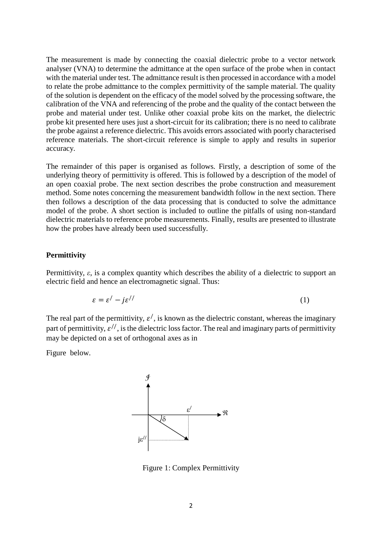The measurement is made by connecting the coaxial dielectric probe to a vector network analyser (VNA) to determine the admittance at the open surface of the probe when in contact with the material under test. The admittance result is then processed in accordance with a model to relate the probe admittance to the complex permittivity of the sample material. The quality of the solution is dependent on the efficacy of the model solved by the processing software, the calibration of the VNA and referencing of the probe and the quality of the contact between the probe and material under test. Unlike other coaxial probe kits on the market, the dielectric probe kit presented here uses just a short-circuit for its calibration; there is no need to calibrate the probe against a reference dielectric. This avoids errors associated with poorly characterised reference materials. The short-circuit reference is simple to apply and results in superior accuracy.

The remainder of this paper is organised as follows. Firstly, a description of some of the underlying theory of permittivity is offered. This is followed by a description of the model of an open coaxial probe. The next section describes the probe construction and measurement method. Some notes concerning the measurement bandwidth follow in the next section. There then follows a description of the data processing that is conducted to solve the admittance model of the probe. A short section is included to outline the pitfalls of using non-standard dielectric materials to reference probe measurements. Finally, results are presented to illustrate how the probes have already been used successfully.

#### **Permittivity**

Permittivity, *ε*, is a complex quantity which describes the ability of a dielectric to support an electric field and hence an electromagnetic signal. Thus:

$$
\varepsilon = \varepsilon' - j\varepsilon^{//} \tag{1}
$$

The real part of the permittivity,  $\varepsilon'$ , is known as the dielectric constant, whereas the imaginary part of permittivity,  $\varepsilon$ <sup>//</sup>, is the dielectric loss factor. The real and imaginary parts of permittivity may be depicted on a set of orthogonal axes as in

[Figure](#page-1-0) below.



<span id="page-1-0"></span>Figure 1: Complex Permittivity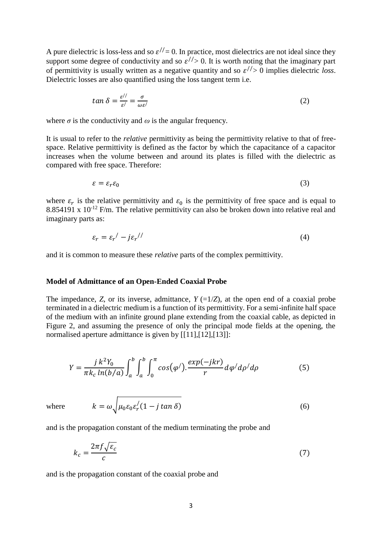A pure dielectric is loss-less and so  $\varepsilon$ <sup>//</sup> = 0. In practice, most dielectrics are not ideal since they support some degree of conductivity and so  $\varepsilon$ <sup>//</sup>> 0. It is worth noting that the imaginary part of permittivity is usually written as a negative quantity and so  $\varepsilon$ <sup>//</sup>> 0 implies dielectric *loss*. Dielectric losses are also quantified using the loss tangent term i.e.

$$
\tan \delta = \frac{\varepsilon^{\prime \prime}}{\varepsilon^{\prime}} = \frac{\sigma}{\omega \varepsilon^{\prime}}
$$
 (2)

where  $\sigma$  is the conductivity and  $\omega$  is the angular frequency.

It is usual to refer to the *relative* permittivity as being the permittivity relative to that of freespace. Relative permittivity is defined as the factor by which the capacitance of a capacitor increases when the volume between and around its plates is filled with the dielectric as compared with free space. Therefore:

$$
\varepsilon = \varepsilon_r \varepsilon_0 \tag{3}
$$

where  $\varepsilon_r$  is the relative permittivity and  $\varepsilon_0$  is the permittivity of free space and is equal to 8.854191 x  $10^{-12}$  F/m. The relative permittivity can also be broken down into relative real and imaginary parts as:

$$
\varepsilon_r = \varepsilon_r' - j\varepsilon_r' \tag{4}
$$

and it is common to measure these *relative* parts of the complex permittivity.

#### **Model of Admittance of an Open-Ended Coaxial Probe**

The impedance, *Z*, or its inverse, admittance,  $Y = \frac{1}{Z}$ , at the open end of a coaxial probe terminated in a dielectric medium is a function of its permittivity. For a semi-infinite half space of the medium with an infinite ground plane extending from the coaxial cable, as depicted in [Figure](#page-3-0) 2, and assuming the presence of only the principal mode fields at the opening, the normalised aperture admittance is given by [\[\[11\],](#page-9-4)[\[12\],](#page-9-5)[\[13\]\]](#page-9-6):

$$
Y = \frac{j k^2 Y_0}{\pi k_c \ln(b/a)} \int_a^b \int_a^b \int_0^\pi \cos(\varphi') \cdot \frac{\exp(-jkr)}{r} d\varphi' d\rho' d\rho \tag{5}
$$

where

$$
k = \omega \sqrt{\mu_0 \varepsilon_0 \varepsilon_r' (1 - j \tan \delta)} \tag{6}
$$

and is the propagation constant of the medium terminating the probe and

$$
k_c = \frac{2\pi f \sqrt{\varepsilon_c}}{c} \tag{7}
$$

and is the propagation constant of the coaxial probe and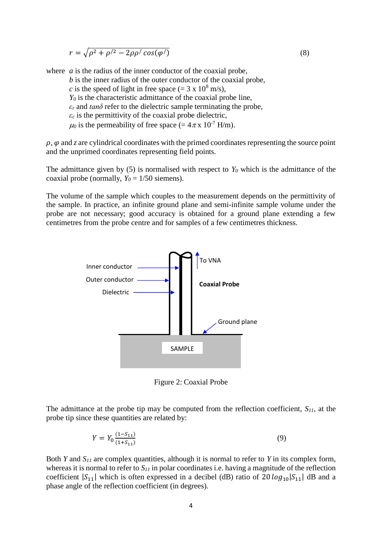$$
r = \sqrt{\rho^2 + \rho'^2 - 2\rho \rho' \cos(\varphi')}
$$
 (8)

where *a* is the radius of the inner conductor of the coaxial probe, *b* is the inner radius of the outer conductor of the coaxial probe, *c* is the speed of light in free space (=  $3 \times 10^8$  m/s). *Y<sup>0</sup>* is the characteristic admittance of the coaxial probe line,  $\epsilon_r$  and  $tan\delta$  refer to the dielectric sample terminating the probe,  $\epsilon_c$  is the permittivity of the coaxial probe dielectric,  $\mu_0$  is the permeability of free space (=  $4\pi$  x 10<sup>-7</sup> H/m).

 $\rho$ ,  $\varphi$  and *z* are cylindrical coordinates with the primed coordinates representing the source point and the unprimed coordinates representing field points.

The admittance given by (5) is normalised with respect to  $Y_0$  which is the admittance of the coaxial probe (normally,  $Y_0 = 1/50$  siemens).

The volume of the sample which couples to the measurement depends on the permittivity of the sample. In practice, an infinite ground plane and semi-infinite sample volume under the probe are not necessary; good accuracy is obtained for a ground plane extending a few centimetres from the probe centre and for samples of a few centimetres thickness.



Figure 2: Coaxial Probe

<span id="page-3-0"></span>The admittance at the probe tip may be computed from the reflection coefficient, *S11*, at the probe tip since these quantities are related by:

$$
Y = Y_0 \frac{(1 - S_{11})}{(1 + S_{11})} \tag{9}
$$

Both *Y* and *S<sup>11</sup>* are complex quantities, although it is normal to refer to *Y* in its complex form, whereas it is normal to refer to *S<sup>11</sup>* in polar coordinates i.e. having a magnitude of the reflection coefficient  $|S_{11}|$  which is often expressed in a decibel (dB) ratio of 20  $log_{10}|S_{11}|$  dB and a phase angle of the reflection coefficient (in degrees).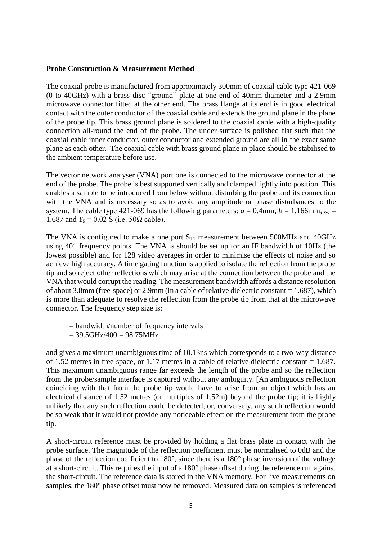#### **Probe Construction & Measurement Method**

The coaxial probe is manufactured from approximately 300mm of coaxial cable type 421-069 (0 to 40GHz) with a brass disc "ground" plate at one end of 40mm diameter and a 2.9mm microwave connector fitted at the other end. The brass flange at its end is in good electrical contact with the outer conductor of the coaxial cable and extends the ground plane in the plane of the probe tip. This brass ground plane is soldered to the coaxial cable with a high-quality connection all-round the end of the probe. The under surface is polished flat such that the coaxial cable inner conductor, outer conductor and extended ground are all in the exact same plane as each other. The coaxial cable with brass ground plane in place should be stabilised to the ambient temperature before use.

The vector network analyser (VNA) port one is connected to the microwave connector at the end of the probe. The probe is best supported vertically and clamped lightly into position. This enables a sample to be introduced from below without disturbing the probe and its connection with the VNA and is necessary so as to avoid any amplitude or phase disturbances to the system. The cable type 421-069 has the following parameters:  $a = 0.4$ mm,  $b = 1.16$ 6mm,  $\varepsilon_c =$ 1.687 and  $Y_0$  = 0.02 S (i.e. 50Ω cable).

The VNA is configured to make a one port  $S_{11}$  measurement between 500MHz and 40GHz using 401 frequency points. The VNA is should be set up for an IF bandwidth of 10Hz (the lowest possible) and for 128 video averages in order to minimise the effects of noise and so achieve high accuracy. A time gating function is applied to isolate the reflection from the probe tip and so reject other reflections which may arise at the connection between the probe and the VNA that would corrupt the reading. The measurement bandwidth affords a distance resolution of about 3.8mm (free-space) or 2.9mm (in a cable of relative dielectric constant = 1.687), which is more than adequate to resolve the reflection from the probe tip from that at the microwave connector. The frequency step size is:

- = bandwidth/number of frequency intervals
- $= 39.5$ GHz/400 = 98.75MHz

and gives a maximum unambiguous time of 10.13ns which corresponds to a two-way distance of 1.52 metres in free-space, or 1.17 metres in a cable of relative dielectric constant = 1.687. This maximum unambiguous range far exceeds the length of the probe and so the reflection from the probe/sample interface is captured without any ambiguity. [An ambiguous reflection coinciding with that from the probe tip would have to arise from an object which has an electrical distance of 1.52 metres (or multiples of 1.52m) beyond the probe tip; it is highly unlikely that any such reflection could be detected, or, conversely, any such reflection would be so weak that it would not provide any noticeable effect on the measurement from the probe tip.]

A short-circuit reference must be provided by holding a flat brass plate in contact with the probe surface. The magnitude of the reflection coefficient must be normalised to 0dB and the phase of the reflection coefficient to 180°, since there is a 180° phase inversion of the voltage at a short-circuit. This requires the input of a 180° phase offset during the reference run against the short-circuit. The reference data is stored in the VNA memory. For live measurements on samples, the 180° phase offset must now be removed. Measured data on samples is referenced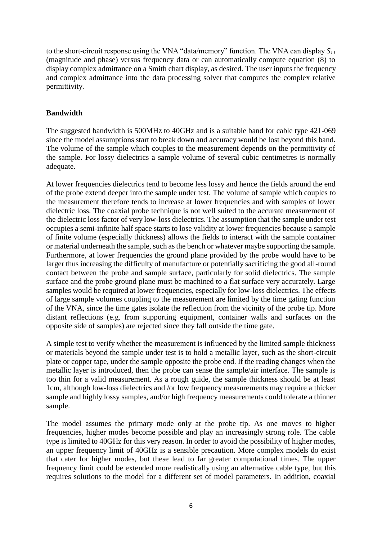to the short-circuit response using the VNA "data/memory" function. The VNA can display *S<sup>11</sup>* (magnitude and phase) versus frequency data or can automatically compute equation (8) to display complex admittance on a Smith chart display, as desired. The user inputs the frequency and complex admittance into the data processing solver that computes the complex relative permittivity.

# **Bandwidth**

The suggested bandwidth is 500MHz to 40GHz and is a suitable band for cable type 421-069 since the model assumptions start to break down and accuracy would be lost beyond this band. The volume of the sample which couples to the measurement depends on the permittivity of the sample. For lossy dielectrics a sample volume of several cubic centimetres is normally adequate.

At lower frequencies dielectrics tend to become less lossy and hence the fields around the end of the probe extend deeper into the sample under test. The volume of sample which couples to the measurement therefore tends to increase at lower frequencies and with samples of lower dielectric loss. The coaxial probe technique is not well suited to the accurate measurement of the dielectric loss factor of very low-loss dielectrics. The assumption that the sample under test occupies a semi-infinite half space starts to lose validity at lower frequencies because a sample of finite volume (especially thickness) allows the fields to interact with the sample container or material underneath the sample, such as the bench or whatever maybe supporting the sample. Furthermore, at lower frequencies the ground plane provided by the probe would have to be larger thus increasing the difficulty of manufacture or potentially sacrificing the good all-round contact between the probe and sample surface, particularly for solid dielectrics. The sample surface and the probe ground plane must be machined to a flat surface very accurately. Large samples would be required at lower frequencies, especially for low-loss dielectrics. The effects of large sample volumes coupling to the measurement are limited by the time gating function of the VNA, since the time gates isolate the reflection from the vicinity of the probe tip. More distant reflections (e.g. from supporting equipment, container walls and surfaces on the opposite side of samples) are rejected since they fall outside the time gate.

A simple test to verify whether the measurement is influenced by the limited sample thickness or materials beyond the sample under test is to hold a metallic layer, such as the short-circuit plate or copper tape, under the sample opposite the probe end. If the reading changes when the metallic layer is introduced, then the probe can sense the sample/air interface. The sample is too thin for a valid measurement. As a rough guide, the sample thickness should be at least 1cm, although low-loss dielectrics and /or low frequency measurements may require a thicker sample and highly lossy samples, and/or high frequency measurements could tolerate a thinner sample.

The model assumes the primary mode only at the probe tip. As one moves to higher frequencies, higher modes become possible and play an increasingly strong role. The cable type is limited to 40GHz for this very reason. In order to avoid the possibility of higher modes, an upper frequency limit of 40GHz is a sensible precaution. More complex models do exist that cater for higher modes, but these lead to far greater computational times. The upper frequency limit could be extended more realistically using an alternative cable type, but this requires solutions to the model for a different set of model parameters. In addition, coaxial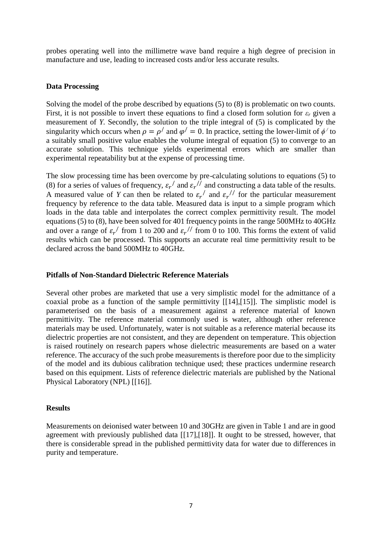probes operating well into the millimetre wave band require a high degree of precision in manufacture and use, leading to increased costs and/or less accurate results.

### **Data Processing**

Solving the model of the probe described by equations (5) to (8) is problematic on two counts. First, it is not possible to invert these equations to find a closed form solution for *ε<sup>r</sup>* given a measurement of *Y*. Secondly, the solution to the triple integral of (5) is complicated by the singularity which occurs when  $\rho = \rho'$  and  $\varphi' = 0$ . In practice, setting the lower-limit of  $\phi'$  to a suitably small positive value enables the volume integral of equation (5) to converge to an accurate solution. This technique yields experimental errors which are smaller than experimental repeatability but at the expense of processing time.

The slow processing time has been overcome by pre-calculating solutions to equations (5) to (8) for a series of values of frequency,  $\varepsilon_r'$  and  $\varepsilon_r''$  and constructing a data table of the results. A measured value of *Y* can then be related to  $\varepsilon_r$  and  $\varepsilon_r$  for the particular measurement frequency by reference to the data table. Measured data is input to a simple program which loads in the data table and interpolates the correct complex permittivity result. The model equations (5) to (8), have been solved for 401 frequency points in the range 500MHz to 40GHz and over a range of  $\varepsilon_r$  from 1 to 200 and  $\varepsilon_r$  from 0 to 100. This forms the extent of valid results which can be processed. This supports an accurate real time permittivity result to be declared across the band 500MHz to 40GHz.

#### **Pitfalls of Non-Standard Dielectric Reference Materials**

Several other probes are marketed that use a very simplistic model for the admittance of a coaxial probe as a function of the sample permittivity [\[\[14\]](#page-9-7)[,\[15\]\]](#page-9-8). The simplistic model is parameterised on the basis of a measurement against a reference material of known permittivity. The reference material commonly used is water, although other reference materials may be used. Unfortunately, water is not suitable as a reference material because its dielectric properties are not consistent, and they are dependent on temperature. This objection is raised routinely on research papers whose dielectric measurements are based on a water reference. The accuracy of the such probe measurements is therefore poor due to the simplicity of the model and its dubious calibration technique used; these practices undermine research based on this equipment. Lists of reference dielectric materials are published by the National Physical Laboratory (NPL) [\[\[16\]\]](#page-9-9).

#### **Results**

Measurements on deionised water between 10 and 30GHz are given in Table 1 and are in good agreement with previously published data [\[\[17\]](#page-9-10)[,\[18\]\]](#page-9-11). It ought to be stressed, however, that there is considerable spread in the published permittivity data for water due to differences in purity and temperature.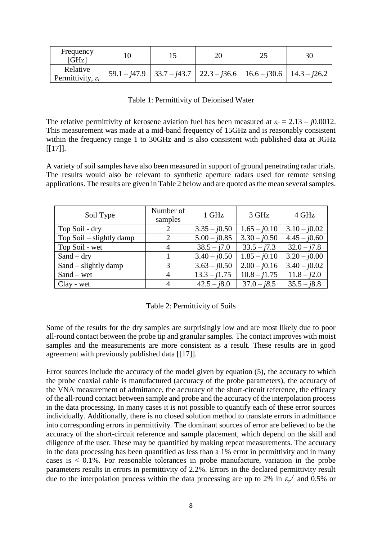| Frequency<br>[GHz]                        |                                                                                    | າເ | 30 |
|-------------------------------------------|------------------------------------------------------------------------------------|----|----|
| Relative<br>Permittivity, $\varepsilon_r$ | $59.1 - j47.9$   $33.7 - j43.7$   $22.3 - j36.6$   $16.6 - j30.6$   $14.3 - j26.2$ |    |    |

### Table 1: Permittivity of Deionised Water

The relative permittivity of kerosene aviation fuel has been measured at  $\varepsilon_r = 2.13 - j0.0012$ . This measurement was made at a mid-band frequency of 15GHz and is reasonably consistent within the frequency range 1 to 30GHz and is also consistent with published data at 3GHz  $[17]$ ].

A variety of soil samples have also been measured in support of ground penetrating radar trials. The results would also be relevant to synthetic aperture radars used for remote sensing applications. The results are given in Table 2 below and are quoted as the mean several samples.

| Soil Type                  | Number of<br>samples | 1 GHz          | 3 GHz          | 4 GHz          |
|----------------------------|----------------------|----------------|----------------|----------------|
| Top Soil - dry             |                      | $3.35 - j0.50$ | $1.65 - j0.10$ | $3.10 - j0.02$ |
| Top Soil $-$ slightly damp | 2                    | $5.00 - j0.85$ | $3.30 - j0.50$ | $4.45 - j0.60$ |
| Top Soil - wet             |                      | $38.5 - j7.0$  | $33.5 - j7.3$  | $32.0 - j7.8$  |
| $Sand - dry$               |                      | $3.40 - j0.50$ | $1.85 - j0.10$ | $3.20 - j0.00$ |
| Sand $-$ slightly damp     | 3                    | $3.63 - j0.50$ | $2.00 - j0.16$ | $3.40 - j0.02$ |
| $Sand - wet$               |                      | $13.3 - j1.75$ | $10.8 - j1.75$ | $11.8 - j2.0$  |
| Clay - wet                 |                      | $42.5 - j8.0$  | $37.0 - j8.5$  | $35.5 - j8.8$  |

#### Table 2: Permittivity of Soils

Some of the results for the dry samples are surprisingly low and are most likely due to poor all-round contact between the probe tip and granular samples. The contact improves with moist samples and the measurements are more consistent as a result. These results are in good agreement with previously published data [\[\[17\]\]](#page-9-10).

Error sources include the accuracy of the model given by equation (5), the accuracy to which the probe coaxial cable is manufactured (accuracy of the probe parameters), the accuracy of the VNA measurement of admittance, the accuracy of the short-circuit reference, the efficacy of the all-round contact between sample and probe and the accuracy of the interpolation process in the data processing. In many cases it is not possible to quantify each of these error sources individually. Additionally, there is no closed solution method to translate errors in admittance into corresponding errors in permittivity. The dominant sources of error are believed to be the accuracy of the short-circuit reference and sample placement, which depend on the skill and diligence of the user. These may be quantified by making repeat measurements. The accuracy in the data processing has been quantified as less than a 1% error in permittivity and in many cases is  $\lt 0.1\%$ . For reasonable tolerances in probe manufacture, variation in the probe parameters results in errors in permittivity of 2.2%. Errors in the declared permittivity result due to the interpolation process within the data processing are up to 2% in  $\varepsilon_r$  and 0.5% or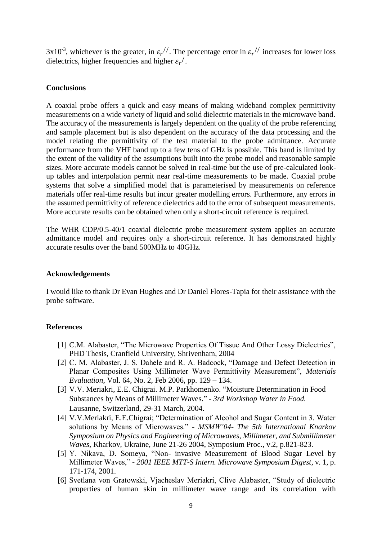$3x10^{-3}$ , whichever is the greater, in  $\varepsilon_r^{1/7}$ . The percentage error in  $\varepsilon_r^{1/7}$  increases for lower loss dielectrics, higher frequencies and higher  $\varepsilon_r'$ .

#### **Conclusions**

A coaxial probe offers a quick and easy means of making wideband complex permittivity measurements on a wide variety of liquid and solid dielectric materials in the microwave band. The accuracy of the measurements is largely dependent on the quality of the probe referencing and sample placement but is also dependent on the accuracy of the data processing and the model relating the permittivity of the test material to the probe admittance. Accurate performance from the VHF band up to a few tens of GHz is possible. This band is limited by the extent of the validity of the assumptions built into the probe model and reasonable sample sizes. More accurate models cannot be solved in real-time but the use of pre-calculated lookup tables and interpolation permit near real-time measurements to be made. Coaxial probe systems that solve a simplified model that is parameterised by measurements on reference materials offer real-time results but incur greater modelling errors. Furthermore, any errors in the assumed permittivity of reference dielectrics add to the error of subsequent measurements. More accurate results can be obtained when only a short-circuit reference is required.

The WHR CDP/0.5-40/1 coaxial dielectric probe measurement system applies an accurate admittance model and requires only a short-circuit reference. It has demonstrated highly accurate results over the band 500MHz to 40GHz.

#### **Acknowledgements**

I would like to thank Dr Evan Hughes and Dr Daniel Flores-Tapia for their assistance with the probe software.

#### **References**

- <span id="page-8-0"></span>[1] C.M. Alabaster, "The Microwave Properties Of Tissue And Other Lossy Dielectrics", [PHD Thesis, Cranfield University, Shrivenham, 2004](http://www.whitehorseradar.co.uk/PublicationsUPDAT/thesis_2004_PhD_CMA.pdf)
- <span id="page-8-1"></span>[2] C. M. Alabaster, J. S. Dahele and R. A. Badcock, "Damage and Defect Detection in [Planar Composites Using Millimeter Wave Permittivity Measurement",](http://www.whitehorseradar.co.uk/PublicationsUPDAT/jrnl_2006_JME_damage&defect.pdf) *Materials Evaluation*[, Vol. 64, No. 2, Feb 2006, pp. 129 –](http://www.whitehorseradar.co.uk/PublicationsUPDAT/jrnl_2006_JME_damage&defect.pdf) 134.
- <span id="page-8-2"></span>[3] V.V. Meriakri, E.E. Chigrai. M.P. Parkhomenko. "Moisture Determination in Food Substances by Means of Millimeter Waves." - *3rd Workshop Water in Food.* Lausanne, Switzerland, 29-31 March, 2004.
- <span id="page-8-3"></span>[4] V.V.Meriakri, E.E.Chigrai; "Determination of Alcohol and Sugar Content in 3. Water solutions by Means of Microwaves." - *MSMW'04- The 5th International Knarkov Symposium on Physics and Engineering of Microwaves, Millimeter, and Submillimeter Waves,* Kharkov, Ukraine, June 21-26 2004, Symposium Proc., v.2, p.821-823.
- <span id="page-8-4"></span>[5] Y. Nikava, D. Someya, "Non- invasive Measurement of Blood Sugar Level by Millimeter Waves," *- 2001 IEEE MTT-S Intern. Microwave Symposium Digest*, v. 1, p. 171-174, 2001.
- <span id="page-8-5"></span>[6] [Svetlana von Gratowski, Vjacheslav Meriakri, Clive Alabaster, "Study of dielectric](http://www.whitehorseradar.co.uk/PublicationsUPDAT/conf_2009_BioEM_skin.pdf)  [properties of human skin in millimeter wave range and its correlation with](http://www.whitehorseradar.co.uk/PublicationsUPDAT/conf_2009_BioEM_skin.pdf)